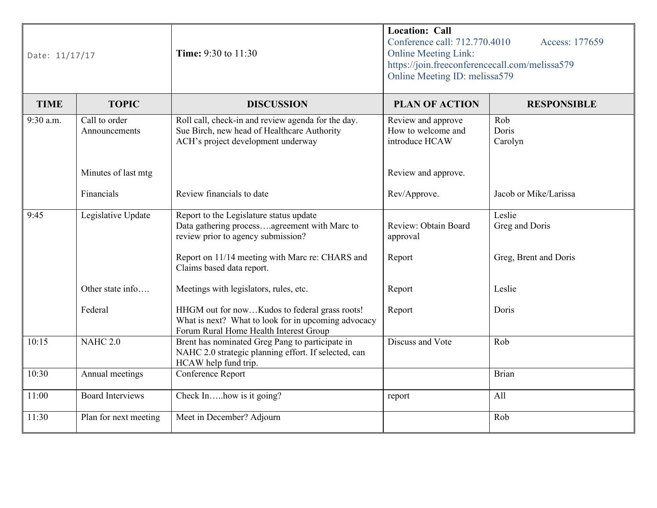| Date: 11/17/17 |                                | <b>Location: Call</b><br>Conference call: 712.770.4010<br>Time: 9:30 to 11:30<br><b>Online Meeting Link:</b><br>https://join.freeconferencecall.com/melissa579<br>Online Meeting ID: melissa579 |                                                            | Access: 177659           |
|----------------|--------------------------------|-------------------------------------------------------------------------------------------------------------------------------------------------------------------------------------------------|------------------------------------------------------------|--------------------------|
| <b>TIME</b>    | <b>TOPIC</b>                   | <b>DISCUSSION</b>                                                                                                                                                                               | <b>PLAN OF ACTION</b>                                      | <b>RESPONSIBLE</b>       |
| $9:30$ a.m.    | Call to order<br>Announcements | Roll call, check-in and review agenda for the day.<br>Sue Birch, new head of Healthcare Authority<br>ACH's project development underway                                                         | Review and approve<br>How to welcome and<br>introduce HCAW | Rob<br>Doris<br>Carolyn  |
|                | Minutes of last mtg            |                                                                                                                                                                                                 | Review and approve.                                        |                          |
|                | Financials                     | Review financials to date                                                                                                                                                                       | Rev/Approve.                                               | Jacob or Mike/Larissa    |
| 9:45           | Legislative Update             | Report to the Legislature status update<br>Data gathering processagreement with Marc to<br>review prior to agency submission?                                                                   | Review: Obtain Board<br>approval                           | Leslie<br>Greg and Doris |
|                |                                | Report on 11/14 meeting with Marc re: CHARS and<br>Claims based data report.                                                                                                                    | Report                                                     | Greg, Brent and Doris    |
|                | Other state info               | Meetings with legislators, rules, etc.                                                                                                                                                          | Report                                                     | Leslie                   |
|                | Federal                        | HHGM out for nowKudos to federal grass roots!<br>What is next? What to look for in upcoming advocacy<br>Forum Rural Home Health Interest Group                                                  | Report                                                     | Doris                    |
| 10:15          | <b>NAHC 2.0</b>                | Brent has nominated Greg Pang to participate in<br>NAHC 2.0 strategic planning effort. If selected, can<br>HCAW help fund trip.                                                                 | Discuss and Vote                                           | Rob                      |
| 10:30          | Annual meetings                | Conference Report                                                                                                                                                                               |                                                            | Brian                    |
| 11:00          | <b>Board Interviews</b>        | Check Inbow is it going?                                                                                                                                                                        | report                                                     | All                      |
| 11:30          | Plan for next meeting          | Meet in December? Adjourn                                                                                                                                                                       |                                                            | Rob                      |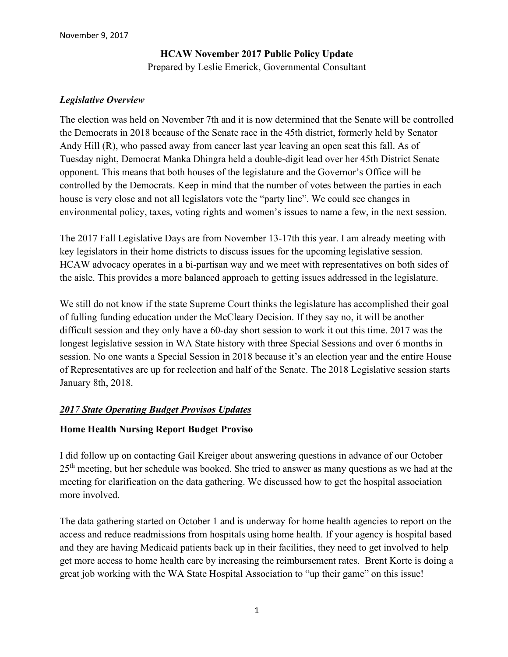# **HCAW November 2017 Public Policy Update** Prepared by Leslie Emerick, Governmental Consultant

#### *Legislative Overview*

The election was held on November 7th and it is now determined that the Senate will be controlled the Democrats in 2018 because of the Senate race in the 45th district, formerly held by Senator Andy Hill (R), who passed away from cancer last year leaving an open seat this fall. As of Tuesday night, Democrat Manka Dhingra held a double-digit lead over her 45th District Senate opponent. This means that both houses of the legislature and the Governor's Office will be controlled by the Democrats. Keep in mind that the number of votes between the parties in each house is very close and not all legislators vote the "party line". We could see changes in environmental policy, taxes, voting rights and women's issues to name a few, in the next session.

The 2017 Fall Legislative Days are from November 13-17th this year. I am already meeting with key legislators in their home districts to discuss issues for the upcoming legislative session. HCAW advocacy operates in a bi-partisan way and we meet with representatives on both sides of the aisle. This provides a more balanced approach to getting issues addressed in the legislature.

We still do not know if the state Supreme Court thinks the legislature has accomplished their goal of fulling funding education under the McCleary Decision. If they say no, it will be another difficult session and they only have a 60-day short session to work it out this time. 2017 was the longest legislative session in WA State history with three Special Sessions and over 6 months in session. No one wants a Special Session in 2018 because it's an election year and the entire House of Representatives are up for reelection and half of the Senate. The 2018 Legislative session starts January 8th, 2018.

### *2017 State Operating Budget Provisos Updates*

### **Home Health Nursing Report Budget Proviso**

I did follow up on contacting Gail Kreiger about answering questions in advance of our October  $25<sup>th</sup>$  meeting, but her schedule was booked. She tried to answer as many questions as we had at the meeting for clarification on the data gathering. We discussed how to get the hospital association more involved.

The data gathering started on October 1 and is underway for home health agencies to report on the access and reduce readmissions from hospitals using home health. If your agency is hospital based and they are having Medicaid patients back up in their facilities, they need to get involved to help get more access to home health care by increasing the reimbursement rates. Brent Korte is doing a great job working with the WA State Hospital Association to "up their game" on this issue!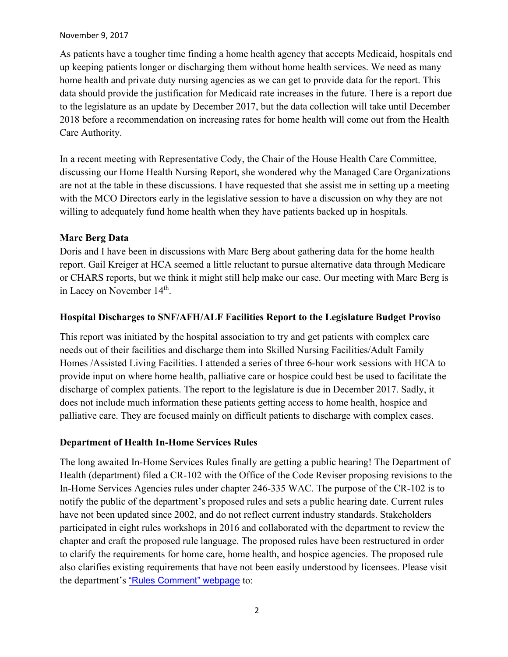#### November 9, 2017

As patients have a tougher time finding a home health agency that accepts Medicaid, hospitals end up keeping patients longer or discharging them without home health services. We need as many home health and private duty nursing agencies as we can get to provide data for the report. This data should provide the justification for Medicaid rate increases in the future. There is a report due to the legislature as an update by December 2017, but the data collection will take until December 2018 before a recommendation on increasing rates for home health will come out from the Health Care Authority.

In a recent meeting with Representative Cody, the Chair of the House Health Care Committee, discussing our Home Health Nursing Report, she wondered why the Managed Care Organizations are not at the table in these discussions. I have requested that she assist me in setting up a meeting with the MCO Directors early in the legislative session to have a discussion on why they are not willing to adequately fund home health when they have patients backed up in hospitals.

# **Marc Berg Data**

Doris and I have been in discussions with Marc Berg about gathering data for the home health report. Gail Kreiger at HCA seemed a little reluctant to pursue alternative data through Medicare or CHARS reports, but we think it might still help make our case. Our meeting with Marc Berg is in Lacey on November 14<sup>th</sup>.

# **Hospital Discharges to SNF/AFH/ALF Facilities Report to the Legislature Budget Proviso**

This report was initiated by the hospital association to try and get patients with complex care needs out of their facilities and discharge them into Skilled Nursing Facilities/Adult Family Homes /Assisted Living Facilities. I attended a series of three 6-hour work sessions with HCA to provide input on where home health, palliative care or hospice could best be used to facilitate the discharge of complex patients. The report to the legislature is due in December 2017. Sadly, it does not include much information these patients getting access to home health, hospice and palliative care. They are focused mainly on difficult patients to discharge with complex cases.

# **Department of Health In-Home Services Rules**

The long awaited In-Home Services Rules finally are getting a public hearing! The Department of Health (department) filed a CR-102 with the Office of the Code Reviser proposing revisions to the In-Home Services Agencies rules under chapter 246-335 WAC. The purpose of the CR-102 is to notify the public of the department's proposed rules and sets a public hearing date. Current rules have not been updated since 2002, and do not reflect current industry standards. Stakeholders participated in eight rules workshops in 2016 and collaborated with the department to review the chapter and craft the proposed rule language. The proposed rules have been restructured in order to clarify the requirements for home care, home health, and hospice agencies. The proposed rule also clarifies existing requirements that have not been easily understood by licensees. Please visit the department's ["Rules Comment" webpage](http://links.govdelivery.com/track?type=click&enid=ZWFzPTEmbXNpZD0mYXVpZD0mbWFpbGluZ2lkPTIwMTcxMTAyLjgwMzIyMzcxJm1lc3NhZ2VpZD1NREItUFJELUJVTC0yMDE3MTEwMi44MDMyMjM3MSZkYXRhYmFzZWlkPTEwMDEmc2VyaWFsPTE2OTcwNzUyJmVtYWlsaWQ9bGVzZW1lcmlja0Bsa2VtZXJpY2suY29tJnVzZXJpZD1sZXNlbWVyaWNrQGxrZW1lcmljay5jb20mdGFyZ2V0aWQ9JmZsPSZleHRyYT1NdWx0aXZhcmlhdGVJZD0mJiY=&&&100&&&https://fortress.wa.gov/doh/policyreview/) to: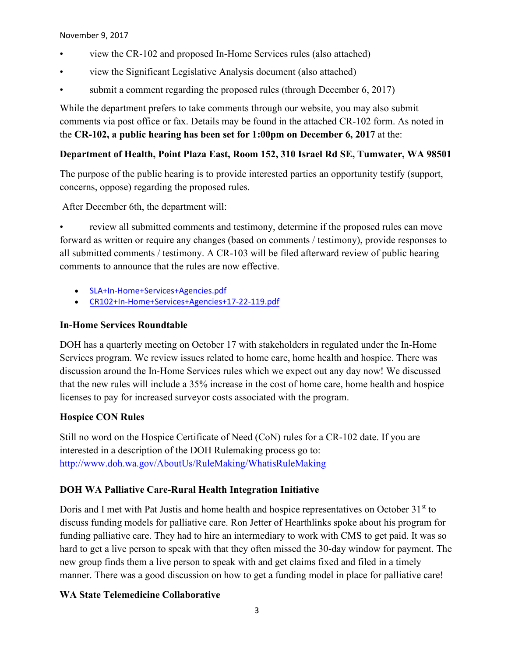November 9, 2017

- view the CR-102 and proposed In-Home Services rules (also attached)
- view the Significant Legislative Analysis document (also attached)
- submit a comment regarding the proposed rules (through December 6, 2017)

While the department prefers to take comments through our website, you may also submit comments via post office or fax. Details may be found in the attached CR-102 form. As noted in the **CR-102, a public hearing has been set for 1:00pm on December 6, 2017** at the:

# **Department of Health, Point Plaza East, Room 152, 310 Israel Rd SE, Tumwater, WA 98501**

The purpose of the public hearing is to provide interested parties an opportunity testify (support, concerns, oppose) regarding the proposed rules.

After December 6th, the department will:

review all submitted comments and testimony, determine if the proposed rules can move forward as written or require any changes (based on comments / testimony), provide responses to all submitted comments / testimony. A CR-103 will be filed afterward review of public hearing comments to announce that the rules are now effective.

- [SLA+In-Home+Services+Agencies.pdf](http://links.govdelivery.com/track?type=click&enid=ZWFzPTEmbXNpZD0mYXVpZD0mbWFpbGluZ2lkPTIwMTcxMTAyLjgwMzIyMzcxJm1lc3NhZ2VpZD1NREItUFJELUJVTC0yMDE3MTEwMi44MDMyMjM3MSZkYXRhYmFzZWlkPTEwMDEmc2VyaWFsPTE2OTcwNzUyJmVtYWlsaWQ9bGVzZW1lcmlja0Bsa2VtZXJpY2suY29tJnVzZXJpZD1sZXNlbWVyaWNrQGxrZW1lcmljay5jb20mdGFyZ2V0aWQ9JmZsPSZleHRyYT1NdWx0aXZhcmlhdGVJZD0mJiY=&&&101&&&https://content.govdelivery.com/attachments/WADOH/2017/11/02/file_attachments/907282/SLA%2BIn-Home%2BServices%2BAgencies.pdf)
- [CR102+In-Home+Services+Agencies+17-22-119.pdf](http://links.govdelivery.com/track?type=click&enid=ZWFzPTEmbXNpZD0mYXVpZD0mbWFpbGluZ2lkPTIwMTcxMTAyLjgwMzIyMzcxJm1lc3NhZ2VpZD1NREItUFJELUJVTC0yMDE3MTEwMi44MDMyMjM3MSZkYXRhYmFzZWlkPTEwMDEmc2VyaWFsPTE2OTcwNzUyJmVtYWlsaWQ9bGVzZW1lcmlja0Bsa2VtZXJpY2suY29tJnVzZXJpZD1sZXNlbWVyaWNrQGxrZW1lcmljay5jb20mdGFyZ2V0aWQ9JmZsPSZleHRyYT1NdWx0aXZhcmlhdGVJZD0mJiY=&&&102&&&https://content.govdelivery.com/attachments/WADOH/2017/11/02/file_attachments/907281/CR102%2BIn-Home%2BServices%2BAgencies%2B17-22-119.pdf)

# **In-Home Services Roundtable**

DOH has a quarterly meeting on October 17 with stakeholders in regulated under the In-Home Services program. We review issues related to home care, home health and hospice. There was discussion around the In-Home Services rules which we expect out any day now! We discussed that the new rules will include a 35% increase in the cost of home care, home health and hospice licenses to pay for increased surveyor costs associated with the program.

# **Hospice CON Rules**

Still no word on the Hospice Certificate of Need (CoN) rules for a CR-102 date. If you are interested in a description of the DOH Rulemaking process go to: <http://www.doh.wa.gov/AboutUs/RuleMaking/WhatisRuleMaking>

# **DOH WA Palliative Care-Rural Health Integration Initiative**

Doris and I met with Pat Justis and home health and hospice representatives on October 31<sup>st</sup> to discuss funding models for palliative care. Ron Jetter of Hearthlinks spoke about his program for funding palliative care. They had to hire an intermediary to work with CMS to get paid. It was so hard to get a live person to speak with that they often missed the 30-day window for payment. The new group finds them a live person to speak with and get claims fixed and filed in a timely manner. There was a good discussion on how to get a funding model in place for palliative care!

# **WA State Telemedicine Collaborative**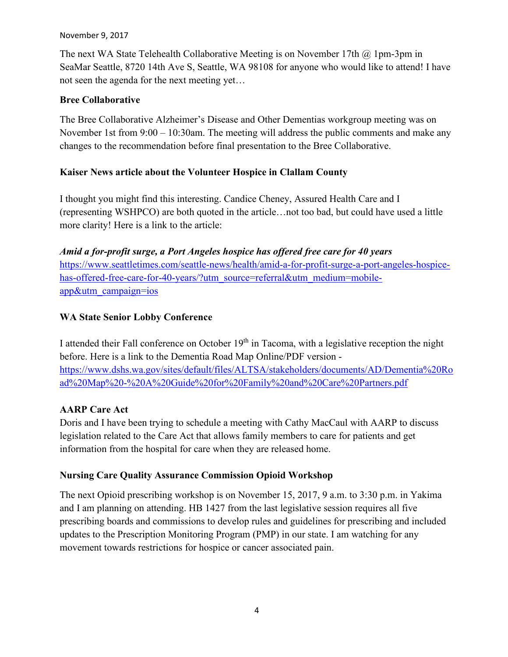#### November 9, 2017

The next WA State Telehealth Collaborative Meeting is on November 17th  $\omega$  1 pm-3pm in SeaMar Seattle, 8720 14th Ave S, Seattle, WA 98108 for anyone who would like to attend! I have not seen the agenda for the next meeting yet…

# **Bree Collaborative**

The Bree Collaborative Alzheimer's Disease and Other Dementias workgroup meeting was on November 1st from 9:00 – 10:30am. The meeting will address the public comments and make any changes to the recommendation before final presentation to the Bree Collaborative.

# **Kaiser News article about the Volunteer Hospice in Clallam County**

I thought you might find this interesting. Candice Cheney, Assured Health Care and I (representing WSHPCO) are both quoted in the article…not too bad, but could have used a little more clarity! Here is a link to the article:

*Amid a for-profit surge, a Port Angeles hospice has offered free care for 40 years*  [https://www.seattletimes.com/seattle-news/health/amid-a-for-profit-surge-a-port-angeles-hospice](https://www.seattletimes.com/seattle-news/health/amid-a-for-profit-surge-a-port-angeles-hospice-has-offered-free-care-for-40-years/?utm_source=referral&utm_medium=mobile-app&utm_campaign=ios)[has-offered-free-care-for-40-years/?utm\\_source=referral&utm\\_medium=mobile](https://www.seattletimes.com/seattle-news/health/amid-a-for-profit-surge-a-port-angeles-hospice-has-offered-free-care-for-40-years/?utm_source=referral&utm_medium=mobile-app&utm_campaign=ios)[app&utm\\_campaign=ios](https://www.seattletimes.com/seattle-news/health/amid-a-for-profit-surge-a-port-angeles-hospice-has-offered-free-care-for-40-years/?utm_source=referral&utm_medium=mobile-app&utm_campaign=ios)

# **WA State Senior Lobby Conference**

I attended their Fall conference on October  $19<sup>th</sup>$  in Tacoma, with a legislative reception the night before. Here is a link to the Dementia Road Map Online/PDF version [https://www.dshs.wa.gov/sites/default/files/ALTSA/stakeholders/documents/AD/Dementia%20Ro](https://www.dshs.wa.gov/sites/default/files/ALTSA/stakeholders/documents/AD/Dementia%20Road%20Map%20-%20A%20Guide%20for%20Family%20and%20Care%20Partners.pdf) [ad%20Map%20-%20A%20Guide%20for%20Family%20and%20Care%20Partners.pdf](https://www.dshs.wa.gov/sites/default/files/ALTSA/stakeholders/documents/AD/Dementia%20Road%20Map%20-%20A%20Guide%20for%20Family%20and%20Care%20Partners.pdf)

# **AARP Care Act**

Doris and I have been trying to schedule a meeting with Cathy MacCaul with AARP to discuss legislation related to the Care Act that allows family members to care for patients and get information from the hospital for care when they are released home.

# **Nursing Care Quality Assurance Commission Opioid Workshop**

The next Opioid prescribing workshop is on November 15, 2017, 9 a.m. to 3:30 p.m. in Yakima and I am planning on attending. HB 1427 from the last legislative session requires all five prescribing boards and commissions to develop rules and guidelines for prescribing and included updates to the Prescription Monitoring Program (PMP) in our state. I am watching for any movement towards restrictions for hospice or cancer associated pain.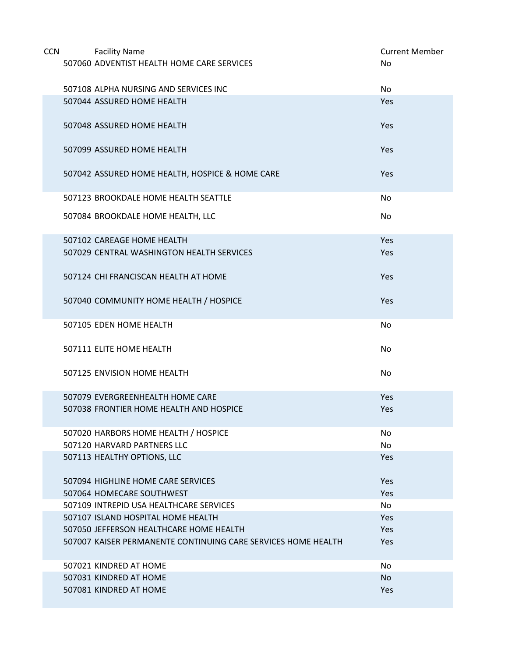| <b>CCN</b> | <b>Facility Name</b>                                          | <b>Current Member</b> |
|------------|---------------------------------------------------------------|-----------------------|
|            | 507060 ADVENTIST HEALTH HOME CARE SERVICES                    | No                    |
|            | 507108 ALPHA NURSING AND SERVICES INC                         | No                    |
|            | 507044 ASSURED HOME HEALTH                                    | Yes                   |
|            | 507048 ASSURED HOME HEALTH                                    | Yes                   |
|            | 507099 ASSURED HOME HEALTH                                    | Yes                   |
|            | 507042 ASSURED HOME HEALTH, HOSPICE & HOME CARE               | Yes                   |
|            | 507123 BROOKDALE HOME HEALTH SEATTLE                          | No                    |
|            | 507084 BROOKDALE HOME HEALTH, LLC                             | No.                   |
|            | 507102 CAREAGE HOME HEALTH                                    | Yes                   |
|            | 507029 CENTRAL WASHINGTON HEALTH SERVICES                     | Yes                   |
|            | 507124 CHI FRANCISCAN HEALTH AT HOME                          | Yes                   |
|            | 507040 COMMUNITY HOME HEALTH / HOSPICE                        | Yes                   |
|            | 507105 EDEN HOME HEALTH                                       | No                    |
|            | 507111 ELITE HOME HEALTH                                      | No                    |
|            | 507125 ENVISION HOME HEALTH                                   | No                    |
|            | 507079 EVERGREENHEALTH HOME CARE                              | Yes                   |
|            | 507038 FRONTIER HOME HEALTH AND HOSPICE                       | Yes                   |
|            | 507020 HARBORS HOME HEALTH / HOSPICE                          | No                    |
|            | 507120 HARVARD PARTNERS LLC                                   | No                    |
|            | 507113 HEALTHY OPTIONS, LLC                                   | Yes                   |
|            | 507094 HIGHLINE HOME CARE SERVICES                            | Yes                   |
|            | 507064 HOMECARE SOUTHWEST                                     | Yes                   |
|            | 507109 INTREPID USA HEALTHCARE SERVICES                       | No                    |
|            | 507107 ISLAND HOSPITAL HOME HEALTH                            | Yes                   |
|            | 507050 JEFFERSON HEALTHCARE HOME HEALTH                       | Yes                   |
|            | 507007 KAISER PERMANENTE CONTINUING CARE SERVICES HOME HEALTH | Yes                   |
|            | 507021 KINDRED AT HOME                                        | No                    |
|            | 507031 KINDRED AT HOME                                        | <b>No</b>             |
|            | 507081 KINDRED AT HOME                                        | Yes                   |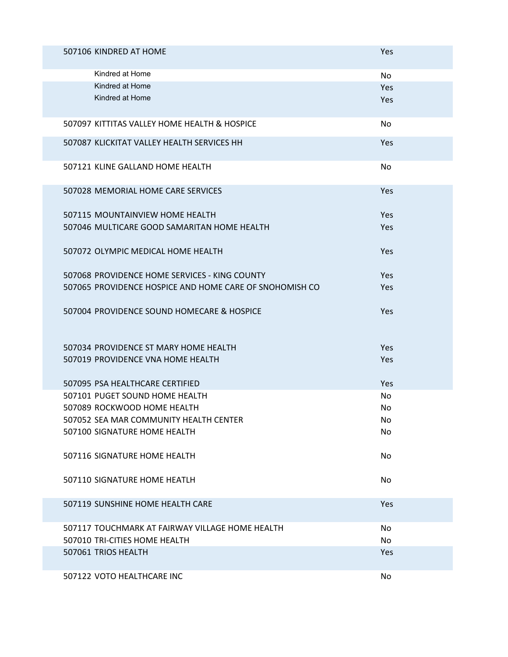| 507106 KINDRED AT HOME                                  | Yes |
|---------------------------------------------------------|-----|
| Kindred at Home                                         | No  |
| Kindred at Home                                         | Yes |
| Kindred at Home                                         | Yes |
| 507097 KITTITAS VALLEY HOME HEALTH & HOSPICE            | No  |
| 507087 KLICKITAT VALLEY HEALTH SERVICES HH              | Yes |
| 507121 KLINE GALLAND HOME HEALTH                        | No  |
| 507028 MEMORIAL HOME CARE SERVICES                      | Yes |
| 507115 MOUNTAINVIEW HOME HEALTH                         | Yes |
| 507046 MULTICARE GOOD SAMARITAN HOME HEALTH             | Yes |
| 507072 OLYMPIC MEDICAL HOME HEALTH                      | Yes |
| 507068 PROVIDENCE HOME SERVICES - KING COUNTY           | Yes |
| 507065 PROVIDENCE HOSPICE AND HOME CARE OF SNOHOMISH CO | Yes |
| 507004 PROVIDENCE SOUND HOMECARE & HOSPICE              | Yes |
| 507034 PROVIDENCE ST MARY HOME HEALTH                   | Yes |
| 507019 PROVIDENCE VNA HOME HEALTH                       | Yes |
| 507095 PSA HEALTHCARE CERTIFIED                         | Yes |
| 507101 PUGET SOUND HOME HEALTH                          | No  |
| 507089 ROCKWOOD HOME HEALTH                             | No  |
| 507052 SEA MAR COMMUNITY HEALTH CENTER                  | No  |
| 507100 SIGNATURE HOME HEALTH                            | No  |
| 507116 SIGNATURE HOME HEALTH                            | No  |
| 507110 SIGNATURE HOME HEATLH                            | No. |
| 507119 SUNSHINE HOME HEALTH CARE                        | Yes |
| 507117 TOUCHMARK AT FAIRWAY VILLAGE HOME HEALTH         | No  |
| 507010 TRI-CITIES HOME HEALTH                           | No  |
| 507061 TRIOS HEALTH                                     | Yes |
| 507122 VOTO HEALTHCARE INC                              | No  |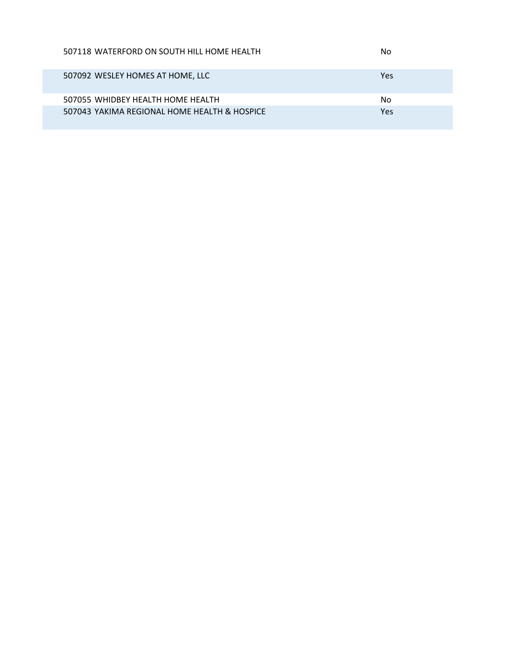| 507118 WATERFORD ON SOUTH HILL HOME HEALTH   | No  |
|----------------------------------------------|-----|
| 507092 WESLEY HOMES AT HOME, LLC             | Yes |
| 507055 WHIDBEY HEALTH HOME HEALTH            | No  |
| 507043 YAKIMA REGIONAL HOME HEALTH & HOSPICE | Yes |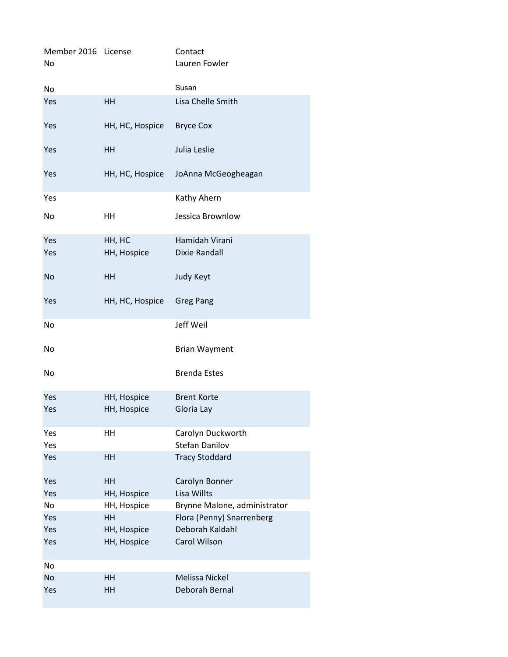| Member 2016 License<br>No |                 | Contact<br>Lauren Fowler     |
|---------------------------|-----------------|------------------------------|
| No                        |                 | Susan                        |
| Yes                       | HH              | Lisa Chelle Smith            |
| Yes                       | HH, HC, Hospice | <b>Bryce Cox</b>             |
| Yes                       | HH              | Julia Leslie                 |
| Yes                       | HH, HC, Hospice | JoAnna McGeogheagan          |
| Yes                       |                 | Kathy Ahern                  |
| No                        | HH              | Jessica Brownlow             |
| Yes                       | HH, HC          | Hamidah Virani               |
| Yes                       | HH, Hospice     | <b>Dixie Randall</b>         |
| <b>No</b>                 | HH              | Judy Keyt                    |
| Yes                       | HH, HC, Hospice | <b>Greg Pang</b>             |
| No                        |                 | Jeff Weil                    |
| No                        |                 | <b>Brian Wayment</b>         |
| No                        |                 | <b>Brenda Estes</b>          |
| Yes                       | HH, Hospice     | <b>Brent Korte</b>           |
| Yes                       | HH, Hospice     | Gloria Lay                   |
| Yes                       | HH              | Carolyn Duckworth            |
| Yes                       |                 | <b>Stefan Danilov</b>        |
| Yes                       | HH              | <b>Tracy Stoddard</b>        |
| Yes                       | HH              | Carolyn Bonner               |
| Yes                       | HH, Hospice     | Lisa Willts                  |
| No                        | HH, Hospice     | Brynne Malone, administrator |
| Yes                       | <b>HH</b>       | Flora (Penny) Snarrenberg    |
| Yes                       | HH, Hospice     | Deborah Kaldahl              |
| Yes                       | HH, Hospice     | Carol Wilson                 |
| No                        |                 |                              |
| <b>No</b>                 | <b>HH</b>       | <b>Melissa Nickel</b>        |
| Yes                       | HH              | Deborah Bernal               |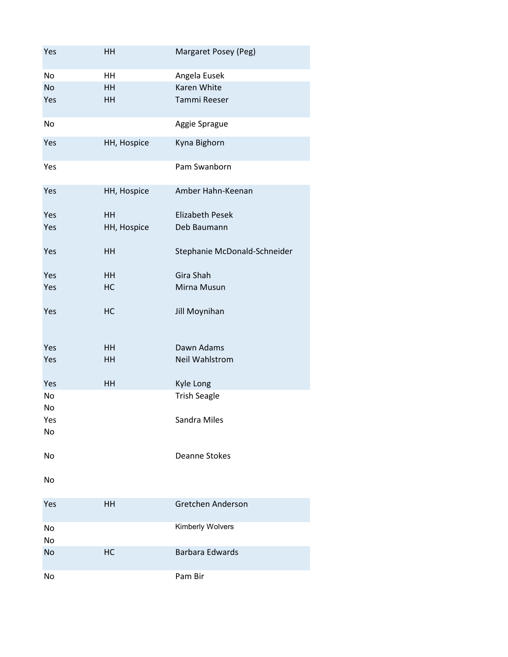| Yes       | HH          | Margaret Posey (Peg)         |
|-----------|-------------|------------------------------|
| No        | HH          | Angela Eusek                 |
| <b>No</b> | HH          | Karen White                  |
| Yes       | HH          | Tammi Reeser                 |
| No        |             | Aggie Sprague                |
| Yes       | HH, Hospice | Kyna Bighorn                 |
| Yes       |             | Pam Swanborn                 |
| Yes       | HH, Hospice | Amber Hahn-Keenan            |
| Yes       | HH          | <b>Elizabeth Pesek</b>       |
| Yes       | HH, Hospice | Deb Baumann                  |
| Yes       | HH          | Stephanie McDonald-Schneider |
| Yes       | HH          | Gira Shah                    |
| Yes       | HC          | Mirna Musun                  |
| Yes       | HC          | Jill Moynihan                |
| Yes       | HH          | Dawn Adams                   |
| Yes       | HH          | <b>Neil Wahlstrom</b>        |
| Yes       | HH          | Kyle Long                    |
| No        |             | <b>Trish Seagle</b>          |
| No        |             |                              |
| Yes       |             | Sandra Miles                 |
| No        |             |                              |
| No        |             | <b>Deanne Stokes</b>         |
| No        |             |                              |
| Yes       | HH          | Gretchen Anderson            |
| No<br>No  |             | Kimberly Wolvers             |
| No        | HC          | <b>Barbara Edwards</b>       |
| No        |             | Pam Bir                      |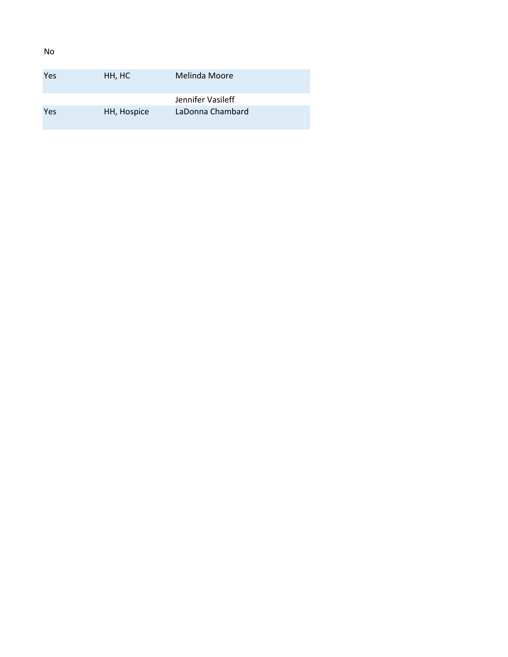| Yes | HH, HC      | Melinda Moore     |
|-----|-------------|-------------------|
|     |             | Jennifer Vasileff |
| Yes | HH, Hospice | LaDonna Chambard  |

No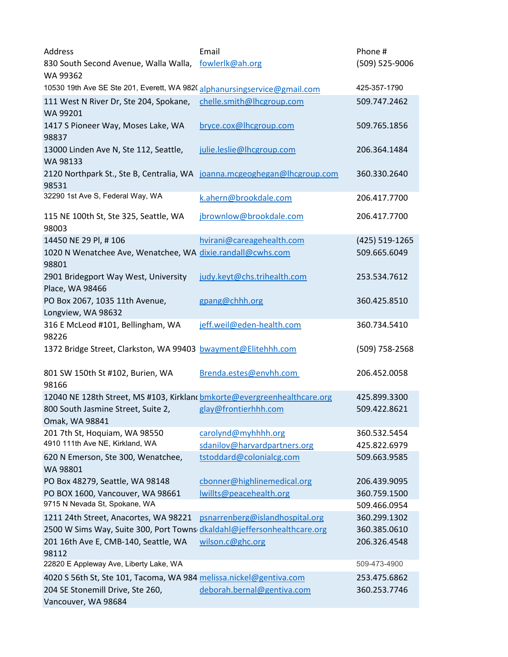| Address                                                                                                                       | Email                           | Phone #                      |
|-------------------------------------------------------------------------------------------------------------------------------|---------------------------------|------------------------------|
| 830 South Second Avenue, Walla Walla,<br>WA 99362                                                                             | fowlerlk@ah.org                 | (509) 525-9006               |
| 10530 19th Ave SE Ste 201, Everett, WA 982(alphanursingservice@gmail.com                                                      |                                 | 425-357-1790                 |
| 111 West N River Dr, Ste 204, Spokane,<br>WA 99201                                                                            | chelle.smith@lhcgroup.com       | 509.747.2462                 |
| 1417 S Pioneer Way, Moses Lake, WA<br>98837                                                                                   | bryce.cox@lhcgroup.com          | 509.765.1856                 |
| 13000 Linden Ave N, Ste 112, Seattle,<br>WA 98133                                                                             | julie.leslie@lhcgroup.com       | 206.364.1484                 |
| 2120 Northpark St., Ste B, Centralia, WA joanna.mcgeoghegan@lhcgroup.com<br>98531                                             |                                 | 360.330.2640                 |
| 32290 1st Ave S, Federal Way, WA                                                                                              | k.ahern@brookdale.com           | 206.417.7700                 |
| 115 NE 100th St, Ste 325, Seattle, WA<br>98003                                                                                | jbrownlow@brookdale.com         | 206.417.7700                 |
| 14450 NE 29 Pl, #106                                                                                                          | hvirani@careagehealth.com       | (425) 519-1265               |
| 1020 N Wenatchee Ave, Wenatchee, WA dixie.randall@cwhs.com<br>98801                                                           |                                 | 509.665.6049                 |
| 2901 Bridegport Way West, University<br>Place, WA 98466                                                                       | judy.keyt@chs.trihealth.com     | 253.534.7612                 |
| PO Box 2067, 1035 11th Avenue,<br>Longview, WA 98632                                                                          | gpang@chhh.org                  | 360.425.8510                 |
| 316 E McLeod #101, Bellingham, WA<br>98226                                                                                    | jeff.weil@eden-health.com       | 360.734.5410                 |
| 1372 Bridge Street, Clarkston, WA 99403 bwayment@Elitehhh.com                                                                 |                                 | (509) 758-2568               |
| 801 SW 150th St #102, Burien, WA<br>98166                                                                                     | Brenda.estes@envhh.com          | 206.452.0058                 |
| 12040 NE 128th Street, MS #103, Kirkland bmkorte@evergreenhealthcare.org                                                      |                                 | 425.899.3300                 |
| 800 South Jasmine Street, Suite 2,<br>Omak, WA 98841                                                                          | glay@frontierhhh.com            | 509.422.8621                 |
| 201 7th St, Hoquiam, WA 98550                                                                                                 | carolynd@myhhhh.org             | 360.532.5454                 |
| 4910 111th Ave NE, Kirkland, WA                                                                                               | sdanilov@harvardpartners.org    | 425.822.6979                 |
| 620 N Emerson, Ste 300, Wenatchee,<br>WA 98801                                                                                | tstoddard@colonialcg.com        | 509.663.9585                 |
| PO Box 48279, Seattle, WA 98148                                                                                               | cbonner@highlinemedical.org     | 206.439.9095                 |
| PO BOX 1600, Vancouver, WA 98661                                                                                              | Iwillts@peacehealth.org         | 360.759.1500                 |
| 9715 N Nevada St, Spokane, WA                                                                                                 |                                 | 509.466.0954                 |
| 1211 24th Street, Anacortes, WA 98221                                                                                         | psnarrenberg@islandhospital.org | 360.299.1302                 |
| 2500 W Sims Way, Suite 300, Port Towns dkaldahl@jeffersonhealthcare.org<br>201 16th Ave E, CMB-140, Seattle, WA<br>98112      | wilson.c@ghc.org                | 360.385.0610<br>206.326.4548 |
| 22820 E Appleway Ave, Liberty Lake, WA                                                                                        |                                 | 509-473-4900                 |
| 4020 S 56th St, Ste 101, Tacoma, WA 984 melissa.nickel@gentiva.com<br>204 SE Stonemill Drive, Ste 260,<br>Vancouver, WA 98684 | deborah.bernal@gentiva.com      | 253.475.6862<br>360.253.7746 |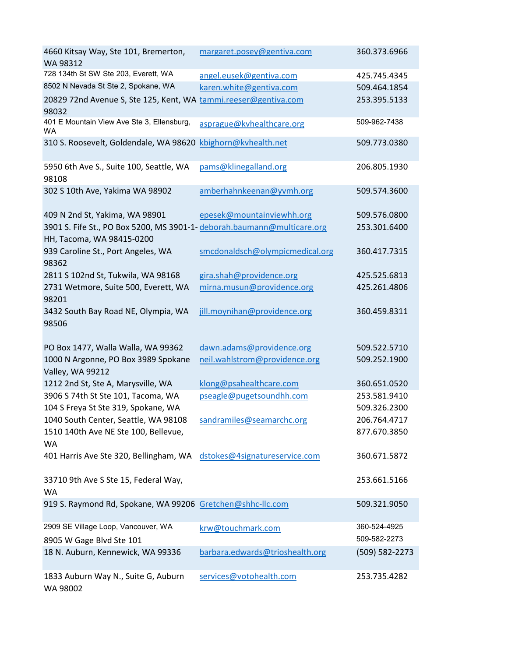| 4660 Kitsay Way, Ste 101, Bremerton,<br>WA 98312                         | margaret.posey@gentiva.com      | 360.373.6966   |
|--------------------------------------------------------------------------|---------------------------------|----------------|
| 728 134th St SW Ste 203, Everett, WA                                     | angel.eusek@gentiva.com         | 425.745.4345   |
| 8502 N Nevada St Ste 2, Spokane, WA                                      | karen.white@gentiva.com         | 509.464.1854   |
| 20829 72nd Avenue S, Ste 125, Kent, WA tammi.reeser@gentiva.com<br>98032 |                                 | 253.395.5133   |
| 401 E Mountain View Ave Ste 3, Ellensburg,<br><b>WA</b>                  | asprague@kvhealthcare.org       | 509-962-7438   |
| 310 S. Roosevelt, Goldendale, WA 98620 kbighorn@kvhealth.net             |                                 | 509.773.0380   |
| 5950 6th Ave S., Suite 100, Seattle, WA<br>98108                         | pams@klinegalland.org           | 206.805.1930   |
| 302 S 10th Ave, Yakima WA 98902                                          | amberhahnkeenan@yvmh.org        | 509.574.3600   |
| 409 N 2nd St, Yakima, WA 98901                                           | epesek@mountainviewhh.org       | 509.576.0800   |
| 3901 S. Fife St., PO Box 5200, MS 3901-1- deborah.baumann@multicare.org  |                                 | 253.301.6400   |
| HH, Tacoma, WA 98415-0200                                                |                                 |                |
| 939 Caroline St., Port Angeles, WA<br>98362                              | smcdonaldsch@olympicmedical.org | 360.417.7315   |
| 2811 S 102nd St, Tukwila, WA 98168                                       | gira.shah@providence.org        | 425.525.6813   |
| 2731 Wetmore, Suite 500, Everett, WA                                     | mirna.musun@providence.org      | 425.261.4806   |
| 98201                                                                    |                                 |                |
| 3432 South Bay Road NE, Olympia, WA<br>98506                             | jill.moynihan@providence.org    | 360.459.8311   |
| PO Box 1477, Walla Walla, WA 99362                                       | dawn.adams@providence.org       | 509.522.5710   |
| 1000 N Argonne, PO Box 3989 Spokane<br>Valley, WA 99212                  | neil.wahlstrom@providence.org   | 509.252.1900   |
| 1212 2nd St, Ste A, Marysville, WA                                       | klong@psahealthcare.com         | 360.651.0520   |
| 3906 S 74th St Ste 101, Tacoma, WA                                       | pseagle@pugetsoundhh.com        | 253.581.9410   |
| 104 S Freya St Ste 319, Spokane, WA                                      |                                 | 509.326.2300   |
| 1040 South Center, Seattle, WA 98108                                     | sandramiles@seamarchc.org       | 206.764.4717   |
| 1510 140th Ave NE Ste 100, Bellevue,<br>WA                               |                                 | 877.670.3850   |
| 401 Harris Ave Ste 320, Bellingham, WA dstokes@4signatureservice.com     |                                 | 360.671.5872   |
| 33710 9th Ave S Ste 15, Federal Way,                                     |                                 | 253.661.5166   |
| WA                                                                       |                                 |                |
| 919 S. Raymond Rd, Spokane, WA 99206 Gretchen@shhc-Ilc.com               |                                 | 509.321.9050   |
| 2909 SE Village Loop, Vancouver, WA                                      | krw@touchmark.com               | 360-524-4925   |
| 8905 W Gage Blvd Ste 101                                                 |                                 | 509-582-2273   |
| 18 N. Auburn, Kennewick, WA 99336                                        | barbara.edwards@trioshealth.org | (509) 582-2273 |
| 1833 Auburn Way N., Suite G, Auburn<br>WA 98002                          | services@votohealth.com         | 253.735.4282   |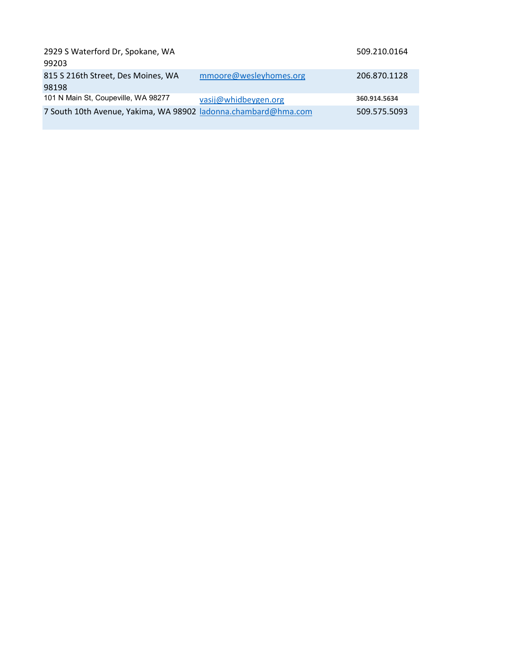| 2929 S Waterford Dr, Spokane, WA                               |                        | 509.210.0164 |
|----------------------------------------------------------------|------------------------|--------------|
| 99203                                                          |                        |              |
| 815 S 216th Street, Des Moines, WA                             | mmoore@wesleyhomes.org | 206.870.1128 |
| 98198                                                          |                        |              |
| 101 N Main St, Coupeville, WA 98277                            | vasij@whidbeygen.org   | 360.914.5634 |
| 7 South 10th Avenue, Yakima, WA 98902 ladonna.chambard@hma.com |                        | 509.575.5093 |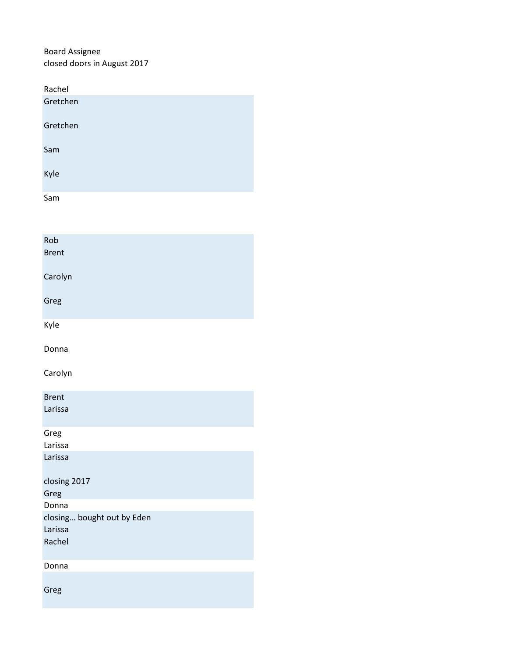Board Assignee closed doors in August 2017

| Rachel   |  |
|----------|--|
| Gretchen |  |
| Gretchen |  |
| Sam      |  |
| Kyle     |  |
| Sam      |  |

| Rob<br><b>Brent</b>        |
|----------------------------|
| Carolyn                    |
| Greg                       |
| Kyle                       |
| Donna                      |
| Carolyn                    |
| <b>Brent</b>               |
| Larissa                    |
| Greg                       |
| Larissa                    |
| Larissa                    |
| closing 2017               |
| Greg                       |
| Donna                      |
| closing bought out by Eden |
| Larissa                    |
| Rachel                     |
| Donna                      |
| Greg                       |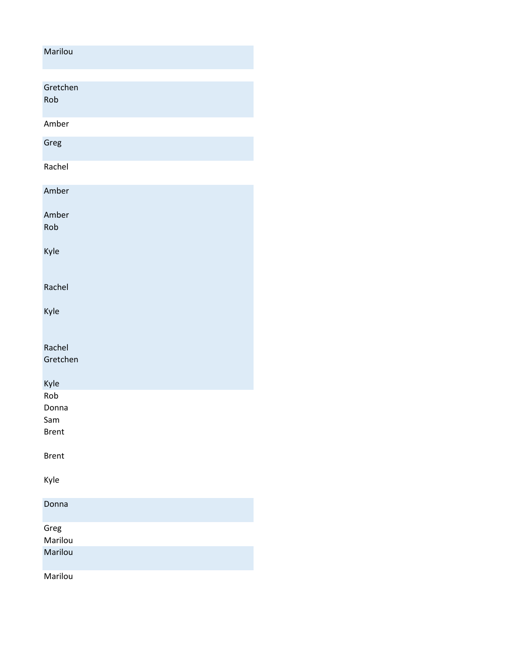| Marilou             |
|---------------------|
|                     |
| Gretchen<br>Rob     |
| Amber               |
| Greg                |
| Rachel              |
| Amber               |
| Amber<br>Rob        |
| Kyle                |
| Rachel              |
| Kyle                |
| Rachel<br>Gretchen  |
| Kyle                |
| Rob<br>Donna        |
| Sam<br><b>Brent</b> |
| <b>Brent</b>        |
| Kyle                |
| Donna               |
| Greg<br>Marilou     |
| Marilou             |
| Marilou             |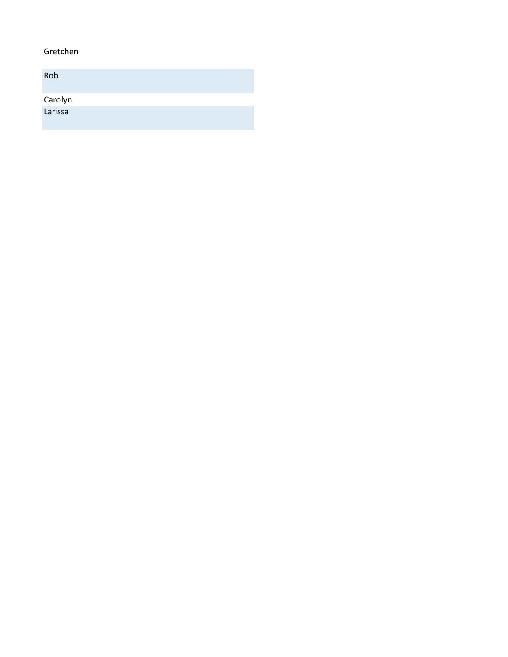#### Gretchen

| Rob     |  |  |
|---------|--|--|
| Carolyn |  |  |
| Larissa |  |  |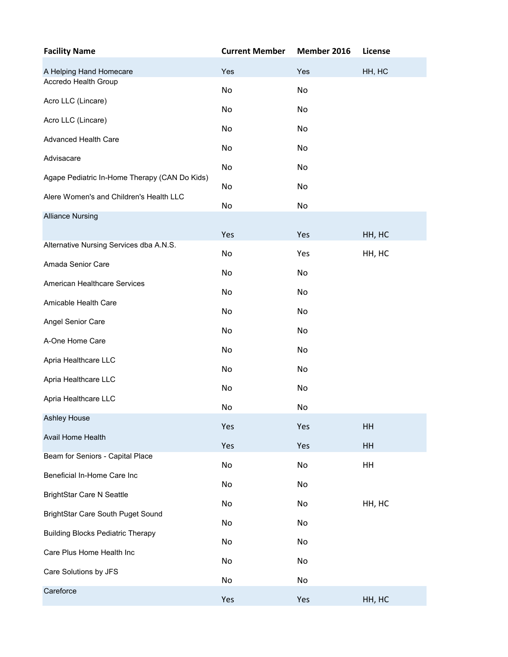| <b>Facility Name</b>                          | <b>Current Member</b> | Member 2016 | License |
|-----------------------------------------------|-----------------------|-------------|---------|
| A Helping Hand Homecare                       | Yes                   | Yes         | HH, HC  |
| Accredo Health Group                          | No                    | No          |         |
| Acro LLC (Lincare)                            | No                    | No          |         |
| Acro LLC (Lincare)                            | No                    | No          |         |
| Advanced Health Care                          | No                    | No          |         |
| Advisacare                                    | No                    | No          |         |
| Agape Pediatric In-Home Therapy (CAN Do Kids) | No                    | No          |         |
| Alere Women's and Children's Health LLC       | No                    | No          |         |
| <b>Alliance Nursing</b>                       |                       |             |         |
|                                               | Yes                   | Yes         | HH, HC  |
| Alternative Nursing Services dba A.N.S.       | No                    | Yes         | HH, HC  |
| Amada Senior Care                             | No                    | No          |         |
| American Healthcare Services                  | No                    | No          |         |
| Amicable Health Care                          | No                    | No          |         |
| Angel Senior Care                             | No                    | No          |         |
| A-One Home Care                               | No                    | No          |         |
| Apria Healthcare LLC                          | No                    | No          |         |
| Apria Healthcare LLC                          | No                    | No          |         |
| Apria Healthcare LLC                          | No                    | No          |         |
| Ashley House                                  |                       |             |         |
| Avail Home Health                             | Yes                   | Yes         | HH      |
| Beam for Seniors - Capital Place              | Yes                   | Yes         | HH      |
| Beneficial In-Home Care Inc                   | No                    | No          | HH      |
| <b>BrightStar Care N Seattle</b>              | No                    | No          |         |
| BrightStar Care South Puget Sound             | No                    | No          | HH, HC  |
| <b>Building Blocks Pediatric Therapy</b>      | No                    | No          |         |
| Care Plus Home Health Inc                     | No                    | No          |         |
| Care Solutions by JFS                         | No                    | No          |         |
| Careforce                                     | No                    | No          |         |
|                                               | Yes                   | Yes         | HH, HC  |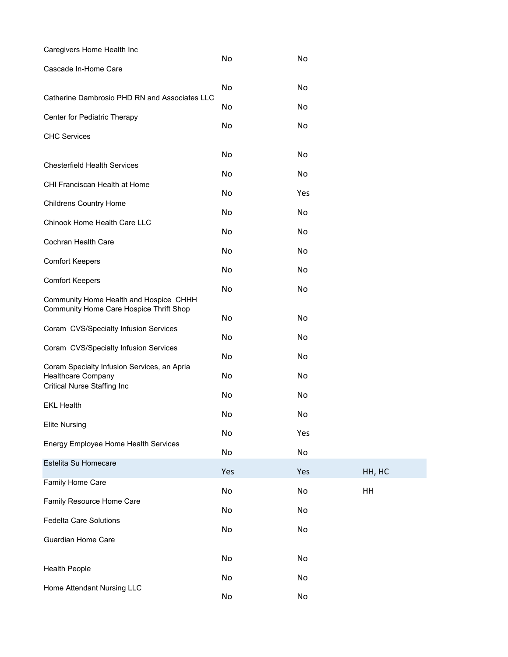| Caregivers Home Health Inc                                                                              |     |     |        |
|---------------------------------------------------------------------------------------------------------|-----|-----|--------|
| Cascade In-Home Care                                                                                    | No  | No  |        |
|                                                                                                         | No  | No  |        |
| Catherine Dambrosio PHD RN and Associates LLC                                                           | No  | No  |        |
| Center for Pediatric Therapy                                                                            | No  | No  |        |
| <b>CHC Services</b>                                                                                     |     |     |        |
|                                                                                                         | No  | No  |        |
| <b>Chesterfield Health Services</b>                                                                     | No  | No  |        |
| CHI Franciscan Health at Home                                                                           | No  | Yes |        |
| <b>Childrens Country Home</b>                                                                           |     |     |        |
| Chinook Home Health Care LLC                                                                            | No  | No  |        |
| Cochran Health Care                                                                                     | No  | No  |        |
|                                                                                                         | No  | No  |        |
| <b>Comfort Keepers</b>                                                                                  | No  | No  |        |
| <b>Comfort Keepers</b>                                                                                  | No  | No  |        |
| Community Home Health and Hospice CHHH<br>Community Home Care Hospice Thrift Shop                       |     |     |        |
| Coram CVS/Specialty Infusion Services                                                                   | No  | No  |        |
| Coram CVS/Specialty Infusion Services                                                                   | No  | No  |        |
|                                                                                                         | No  | No  |        |
| Coram Specialty Infusion Services, an Apria<br>Healthcare Company<br><b>Critical Nurse Staffing Inc</b> | No  | No  |        |
|                                                                                                         | No  | No  |        |
| <b>EKL Health</b>                                                                                       | No  | No  |        |
| <b>Elite Nursing</b>                                                                                    | No  | Yes |        |
| Energy Employee Home Health Services                                                                    | No  | No  |        |
| Estelita Su Homecare                                                                                    | Yes | Yes | HH, HC |
| Family Home Care                                                                                        |     |     |        |
| Family Resource Home Care                                                                               | No  | No  | HH     |
| <b>Fedelta Care Solutions</b>                                                                           | No  | No  |        |
|                                                                                                         | No  | No  |        |
| <b>Guardian Home Care</b>                                                                               |     |     |        |
| <b>Health People</b>                                                                                    | No  | No  |        |
|                                                                                                         | No  | No  |        |
| Home Attendant Nursing LLC                                                                              | No  | No  |        |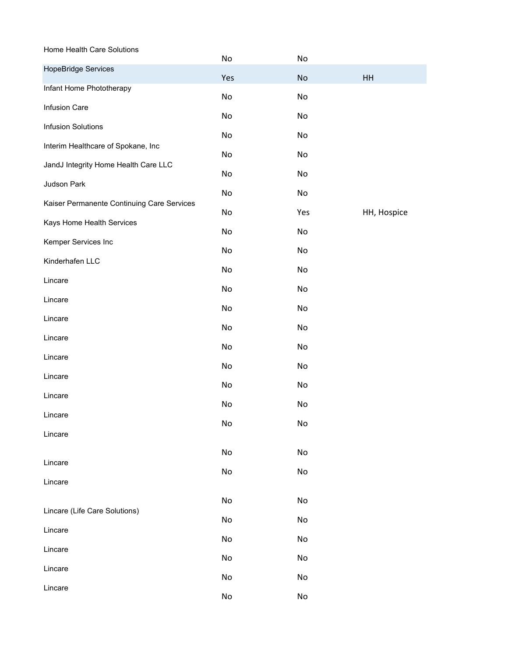Home Health Care Solutions No No HopeBridge Services Yes No HH Infant Home Phototherapy No No Infusion Care No No Infusion Solutions No No Interim Healthcare of Spokane, Inc No No JandJ Integrity Home Health Care LLC No No Judson Park No No Kaiser Permanente Continuing Care Services No Yes HH, Hospice Kays Home Health Services No No Kemper Services Inc No No Kinderhafen LLC No No Lincare No No Lincare No No Lincare No No Lincare No No Lincare No No Lincare No No Lincare No No Lincare No No Lincare No No Lincare No No Lincare No No Lincare (Life Care Solutions) No No Lincare No No Lincare No No Lincare No No Lincare No No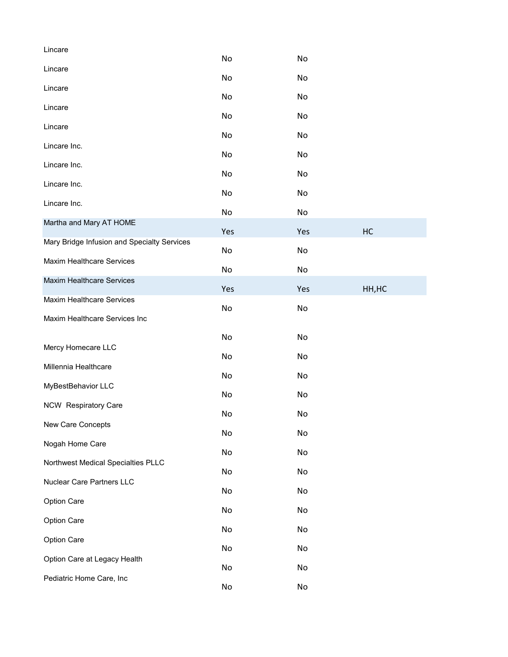| Lincare                                     |     |     |        |
|---------------------------------------------|-----|-----|--------|
| Lincare                                     | No  | No  |        |
| Lincare                                     | No  | No  |        |
| Lincare                                     | No  | No  |        |
|                                             | No  | No  |        |
| Lincare                                     | No  | No  |        |
| Lincare Inc.                                | No  | No  |        |
| Lincare Inc.                                | No  | No  |        |
| Lincare Inc.                                | No  | No  |        |
| Lincare Inc.                                | No  | No  |        |
| Martha and Mary AT HOME                     | Yes | Yes | HC     |
| Mary Bridge Infusion and Specialty Services |     |     |        |
| <b>Maxim Healthcare Services</b>            | No  | No  |        |
| <b>Maxim Healthcare Services</b>            | No  | No  |        |
| <b>Maxim Healthcare Services</b>            | Yes | Yes | HH, HC |
| Maxim Healthcare Services Inc               | No  | No  |        |
|                                             | No  | No  |        |
| Mercy Homecare LLC                          |     |     |        |
| Millennia Healthcare                        | No  | No  |        |
| MyBestBehavior LLC                          | No  | No  |        |
| NCW Respiratory Care                        | No  | No  |        |
| New Care Concepts                           | No  | No  |        |
|                                             | No  | No  |        |
| Nogah Home Care                             | No  | No  |        |
| Northwest Medical Specialties PLLC          | No  | No  |        |
| Nuclear Care Partners LLC                   | No  | No  |        |
| Option Care                                 | No  | No  |        |
| Option Care                                 | No  | No  |        |
| Option Care                                 | No  | No  |        |
| Option Care at Legacy Health                |     |     |        |
| Pediatric Home Care, Inc                    | No  | No  |        |
|                                             | No  | No  |        |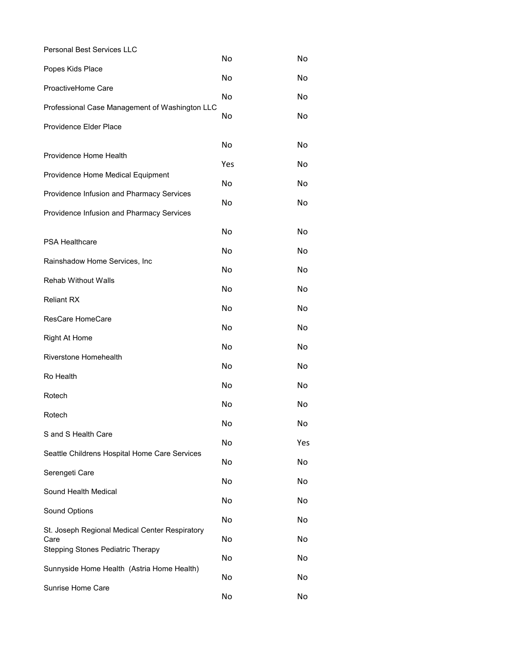| Personal Best Services LLC                       | No  | No  |
|--------------------------------------------------|-----|-----|
| Popes Kids Place                                 | No  | No  |
| ProactiveHome Care                               | No  | No  |
| Professional Case Management of Washington LLC   |     |     |
| Providence Elder Place                           | No  | No  |
|                                                  | No  | No  |
| Providence Home Health                           | Yes | No  |
| Providence Home Medical Equipment                | No  | No  |
| Providence Infusion and Pharmacy Services        | No  | No  |
| Providence Infusion and Pharmacy Services        |     |     |
| PSA Healthcare                                   | No  | No  |
| Rainshadow Home Services, Inc                    | No  | No  |
|                                                  | No  | No  |
| <b>Rehab Without Walls</b>                       | No  | No  |
| <b>Reliant RX</b>                                | No  | No  |
| ResCare HomeCare                                 | No  | No  |
| <b>Right At Home</b>                             | No  | No  |
| Riverstone Homehealth                            | No  | No  |
| Ro Health                                        | No  | No  |
| Rotech                                           | No  | No  |
| Rotech                                           | No  | No  |
| S and S Health Care                              | No  | Yes |
| Seattle Childrens Hospital Home Care Services    | No  | No  |
| Serengeti Care                                   |     |     |
| Sound Health Medical                             | No  | No  |
| Sound Options                                    | No  | No  |
| St. Joseph Regional Medical Center Respiratory   | No  | No  |
| Care<br><b>Stepping Stones Pediatric Therapy</b> | No  | No  |
| Sunnyside Home Health (Astria Home Health)       | No  | No  |
| Sunrise Home Care                                | No  | No  |
|                                                  | No  | No  |
|                                                  |     |     |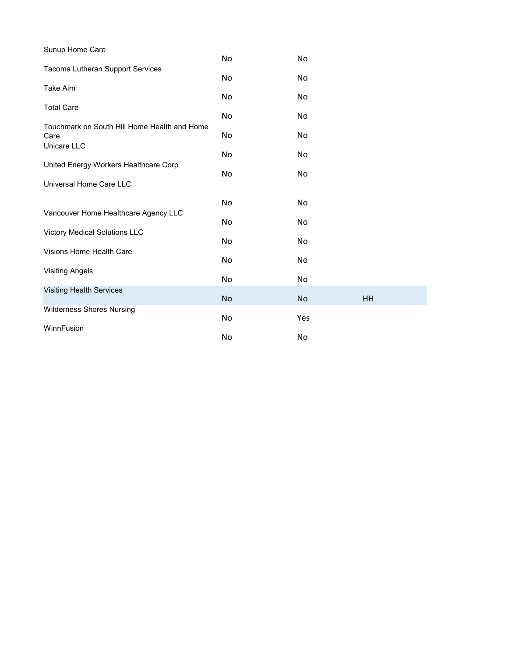| Sunup Home Care                                      |     |     |    |
|------------------------------------------------------|-----|-----|----|
|                                                      | No  | No  |    |
| Tacoma Lutheran Support Services                     | No  | No  |    |
| Take Aim                                             | No  | No  |    |
| <b>Total Care</b>                                    | No. | No  |    |
| Touchmark on South Hill Home Health and Home<br>Care | No  | No  |    |
| Unicare LLC                                          | No  | No  |    |
| United Energy Workers Healthcare Corp                | No. | No  |    |
| Universal Home Care LLC                              |     |     |    |
|                                                      | No  | No  |    |
| Vancouver Home Healthcare Agency LLC                 | No  | No  |    |
| Victory Medical Solutions LLC                        | No  | No  |    |
| Visions Home Health Care                             | No  | No  |    |
| <b>Visiting Angels</b>                               | No  | No  |    |
| <b>Visiting Health Services</b>                      | No  | No  | HH |
| <b>Wilderness Shores Nursing</b>                     | No  | Yes |    |
| WinnFusion                                           | No  | No  |    |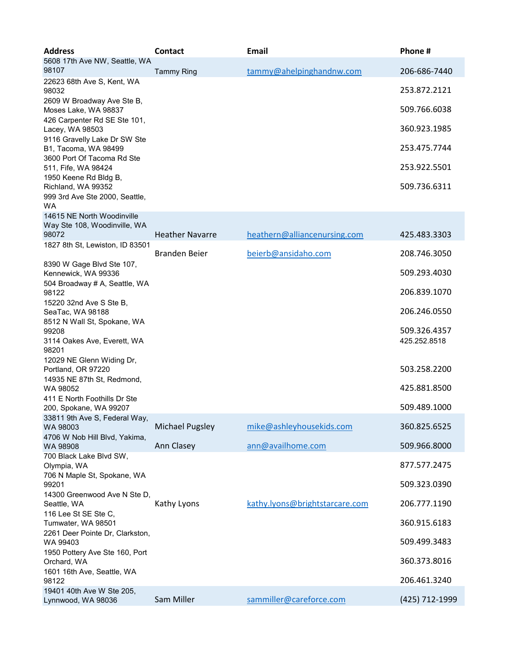| <b>Address</b>                                                                      | <b>Contact</b>         | <b>Email</b>                   | Phone#         |
|-------------------------------------------------------------------------------------|------------------------|--------------------------------|----------------|
| 5608 17th Ave NW, Seattle, WA<br>98107                                              | <b>Tammy Ring</b>      | tammy@ahelpinghandnw.com       | 206-686-7440   |
| 22623 68th Ave S, Kent, WA<br>98032                                                 |                        |                                | 253.872.2121   |
| 2609 W Broadway Ave Ste B,<br>Moses Lake, WA 98837                                  |                        |                                | 509.766.6038   |
| 426 Carpenter Rd SE Ste 101,<br>Lacey, WA 98503                                     |                        |                                | 360.923.1985   |
| 9116 Gravelly Lake Dr SW Ste<br>B1, Tacoma, WA 98499<br>3600 Port Of Tacoma Rd Ste  |                        |                                | 253.475.7744   |
| 511, Fife, WA 98424                                                                 |                        |                                | 253.922.5501   |
| 1950 Keene Rd Bldg B,<br>Richland, WA 99352<br>999 3rd Ave Ste 2000, Seattle,<br>WA |                        |                                | 509.736.6311   |
| 14615 NE North Woodinville<br>Way Ste 108, Woodinville, WA                          |                        |                                |                |
| 98072<br>1827 8th St, Lewiston, ID 83501                                            | <b>Heather Navarre</b> | heathern@alliancenursing.com   | 425.483.3303   |
| 8390 W Gage Blvd Ste 107,                                                           | <b>Branden Beier</b>   | beierb@ansidaho.com            | 208.746.3050   |
| Kennewick, WA 99336                                                                 |                        |                                | 509.293.4030   |
| 504 Broadway # A, Seattle, WA<br>98122                                              |                        |                                | 206.839.1070   |
| 15220 32nd Ave S Ste B,<br>SeaTac, WA 98188<br>8512 N Wall St, Spokane, WA          |                        |                                | 206.246.0550   |
| 99208                                                                               |                        |                                | 509.326.4357   |
| 3114 Oakes Ave, Everett, WA<br>98201                                                |                        |                                | 425.252.8518   |
| 12029 NE Glenn Widing Dr,<br>Portland, OR 97220                                     |                        |                                | 503.258.2200   |
| 14935 NE 87th St, Redmond,<br>WA 98052                                              |                        |                                | 425.881.8500   |
| 411 E North Foothills Dr Ste<br>200, Spokane, WA 99207                              |                        |                                | 509.489.1000   |
| 33811 9th Ave S, Federal Way,                                                       |                        |                                |                |
| WA 98003<br>4706 W Nob Hill Blvd, Yakima,                                           | Michael Pugsley        | mike@ashleyhousekids.com       | 360.825.6525   |
| WA 98908<br>700 Black Lake Blvd SW,                                                 | Ann Clasey             | ann@availhome.com              | 509.966.8000   |
| Olympia, WA<br>706 N Maple St, Spokane, WA                                          |                        |                                | 877.577.2475   |
| 99201                                                                               |                        |                                | 509.323.0390   |
| 14300 Greenwood Ave N Ste D,<br>Seattle, WA                                         | Kathy Lyons            | kathy.lyons@brightstarcare.com | 206.777.1190   |
| 116 Lee St SE Ste C,<br>Tumwater, WA 98501                                          |                        |                                | 360.915.6183   |
| 2261 Deer Pointe Dr, Clarkston,<br>WA 99403                                         |                        |                                | 509.499.3483   |
| 1950 Pottery Ave Ste 160, Port<br>Orchard, WA                                       |                        |                                | 360.373.8016   |
| 1601 16th Ave, Seattle, WA                                                          |                        |                                |                |
| 98122<br>19401 40th Ave W Ste 205,                                                  |                        |                                | 206.461.3240   |
| Lynnwood, WA 98036                                                                  | Sam Miller             | sammiller@careforce.com        | (425) 712-1999 |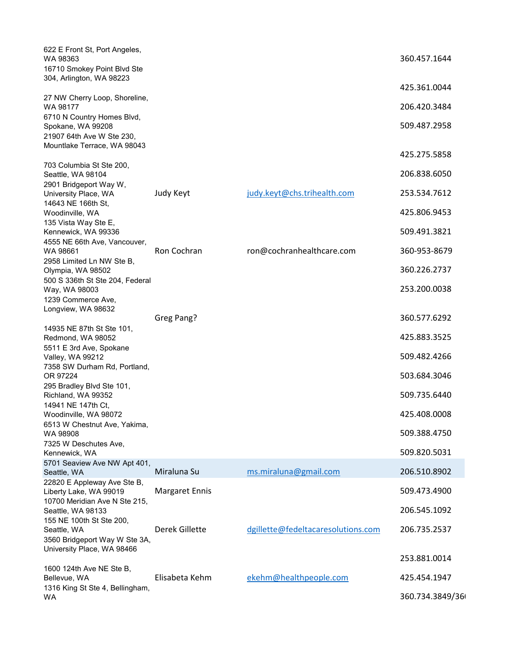| 622 E Front St, Port Angeles,<br>WA 98363<br>16710 Smokey Point Blvd Ste     |                       |                                    | 360.457.1644                 |
|------------------------------------------------------------------------------|-----------------------|------------------------------------|------------------------------|
| 304, Arlington, WA 98223                                                     |                       |                                    | 425.361.0044                 |
| 27 NW Cherry Loop, Shoreline,<br>WA 98177                                    |                       |                                    | 206.420.3484                 |
| 6710 N Country Homes Blvd,<br>Spokane, WA 99208<br>21907 64th Ave W Ste 230, |                       |                                    | 509.487.2958                 |
| Mountlake Terrace, WA 98043                                                  |                       |                                    | 425.275.5858                 |
| 703 Columbia St Ste 200,<br>Seattle, WA 98104                                |                       |                                    | 206.838.6050                 |
| 2901 Bridgeport Way W,<br>University Place, WA<br>14643 NE 166th St,         | Judy Keyt             | judy.keyt@chs.trihealth.com        | 253.534.7612                 |
| Woodinville, WA                                                              |                       |                                    | 425.806.9453                 |
| 135 Vista Way Ste E,<br>Kennewick, WA 99336                                  |                       |                                    | 509.491.3821                 |
| 4555 NE 66th Ave, Vancouver,<br>WA 98661                                     | Ron Cochran           | ron@cochranhealthcare.com          | 360-953-8679                 |
| 2958 Limited Ln NW Ste B,<br>Olympia, WA 98502                               |                       |                                    | 360.226.2737                 |
| 500 S 336th St Ste 204, Federal<br>Way, WA 98003<br>1239 Commerce Ave,       |                       |                                    | 253.200.0038                 |
| Longview, WA 98632                                                           | Greg Pang?            |                                    | 360.577.6292                 |
| 14935 NE 87th St Ste 101,<br>Redmond, WA 98052                               |                       |                                    | 425.883.3525                 |
| 5511 E 3rd Ave, Spokane                                                      |                       |                                    |                              |
| <b>Valley, WA 99212</b><br>7358 SW Durham Rd, Portland,<br>OR 97224          |                       |                                    | 509.482.4266<br>503.684.3046 |
| 295 Bradley Blvd Ste 101,<br>Richland, WA 99352                              |                       |                                    | 509.735.6440                 |
| 14941 NE 147th Ct,<br>Woodinville, WA 98072                                  |                       |                                    | 425.408.0008                 |
| 6513 W Chestnut Ave, Yakima,<br>WA 98908                                     |                       |                                    | 509.388.4750                 |
| 7325 W Deschutes Ave,<br>Kennewick, WA                                       |                       |                                    | 509.820.5031                 |
| 5701 Seaview Ave NW Apt 401,<br>Seattle, WA                                  | Miraluna Su           | ms.miraluna@gmail.com              | 206.510.8902                 |
| 22820 E Appleway Ave Ste B,                                                  |                       |                                    |                              |
| Liberty Lake, WA 99019<br>10700 Meridian Ave N Ste 215,                      | <b>Margaret Ennis</b> |                                    | 509.473.4900                 |
| Seattle, WA 98133<br>155 NE 100th St Ste 200,                                |                       |                                    | 206.545.1092                 |
| Seattle, WA<br>3560 Bridgeport Way W Ste 3A,<br>University Place, WA 98466   | Derek Gillette        | dgillette@fedeltacaresolutions.com | 206.735.2537                 |
|                                                                              |                       |                                    | 253.881.0014                 |
| 1600 124th Ave NE Ste B,<br>Bellevue, WA<br>1316 King St Ste 4, Bellingham,  | Elisabeta Kehm        | ekehm@healthpeople.com             | 425.454.1947                 |
| WA                                                                           |                       |                                    | 360.734.3849/36              |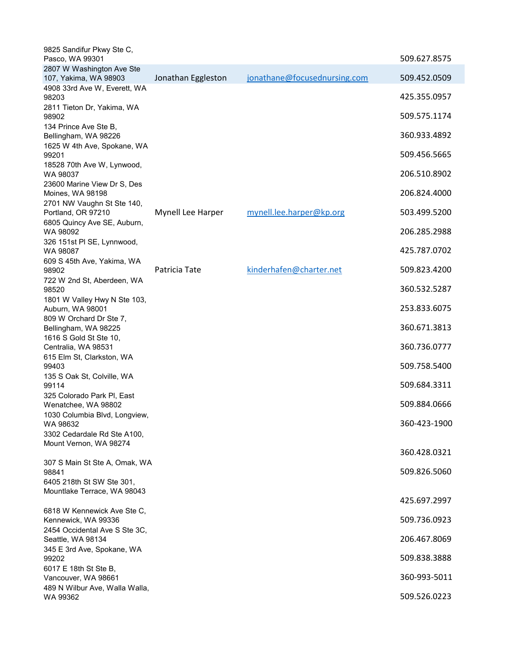| 9825 Sandifur Pkwy Ste C,<br>Pasco, WA 99301                          |                    |                              | 509.627.8575 |
|-----------------------------------------------------------------------|--------------------|------------------------------|--------------|
| 2807 W Washington Ave Ste<br>107, Yakima, WA 98903                    | Jonathan Eggleston | jonathane@focusednursing.com | 509.452.0509 |
| 4908 33rd Ave W, Everett, WA<br>98203                                 |                    |                              | 425.355.0957 |
| 2811 Tieton Dr, Yakima, WA<br>98902<br>134 Prince Ave Ste B,          |                    |                              | 509.575.1174 |
| Bellingham, WA 98226                                                  |                    |                              | 360.933.4892 |
| 1625 W 4th Ave, Spokane, WA<br>99201                                  |                    |                              | 509.456.5665 |
| 18528 70th Ave W, Lynwood,<br>WA 98037<br>23600 Marine View Dr S, Des |                    |                              | 206.510.8902 |
| Moines, WA 98198                                                      |                    |                              | 206.824.4000 |
| 2701 NW Vaughn St Ste 140,<br>Portland, OR 97210                      | Mynell Lee Harper  | mynell.lee.harper@kp.org     | 503.499.5200 |
| 6805 Quincy Ave SE, Auburn,<br>WA 98092                               |                    |                              | 206.285.2988 |
| 326 151st PI SE, Lynnwood,<br>WA 98087                                |                    |                              | 425.787.0702 |
| 609 S 45th Ave, Yakima, WA<br>98902                                   | Patricia Tate      | kinderhafen@charter.net      | 509.823.4200 |
| 722 W 2nd St, Aberdeen, WA<br>98520                                   |                    |                              | 360.532.5287 |
| 1801 W Valley Hwy N Ste 103,<br>Auburn, WA 98001                      |                    |                              | 253.833.6075 |
| 809 W Orchard Dr Ste 7,<br>Bellingham, WA 98225                       |                    |                              | 360.671.3813 |
| 1616 S Gold St Ste 10,<br>Centralia, WA 98531                         |                    |                              | 360.736.0777 |
| 615 Elm St, Clarkston, WA<br>99403                                    |                    |                              | 509.758.5400 |
| 135 S Oak St, Colville, WA<br>99114                                   |                    |                              | 509.684.3311 |
| 325 Colorado Park PI, East<br>Wenatchee, WA 98802                     |                    |                              | 509.884.0666 |
| 1030 Columbia Blvd, Longview,<br>WA 98632                             |                    |                              | 360-423-1900 |
| 3302 Cedardale Rd Ste A100,<br>Mount Vernon, WA 98274                 |                    |                              |              |
| 307 S Main St Ste A, Omak, WA                                         |                    |                              | 360.428.0321 |
| 98841                                                                 |                    |                              | 509.826.5060 |
| 6405 218th St SW Ste 301,<br>Mountlake Terrace, WA 98043              |                    |                              | 425.697.2997 |
| 6818 W Kennewick Ave Ste C,                                           |                    |                              |              |
| Kennewick, WA 99336                                                   |                    |                              | 509.736.0923 |
| 2454 Occidental Ave S Ste 3C,<br>Seattle, WA 98134                    |                    |                              | 206.467.8069 |
| 345 E 3rd Ave, Spokane, WA<br>99202                                   |                    |                              | 509.838.3888 |
| 6017 E 18th St Ste B,<br>Vancouver, WA 98661                          |                    |                              | 360-993-5011 |
| 489 N Wilbur Ave, Walla Walla,<br>WA 99362                            |                    |                              | 509.526.0223 |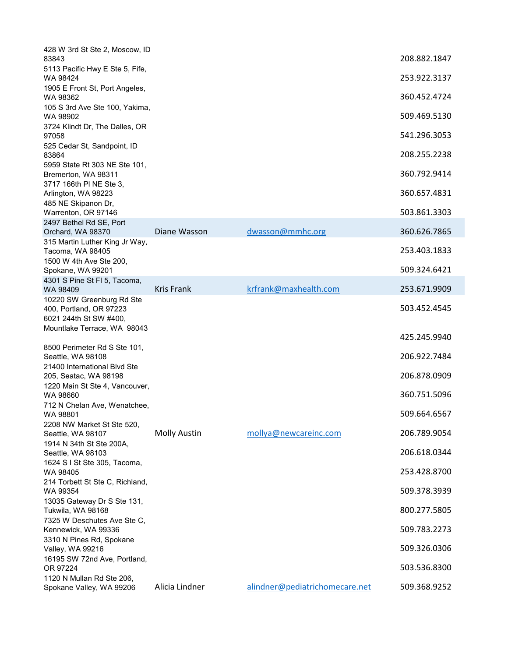| 428 W 3rd St Ste 2, Moscow, ID<br>83843                                        |                     |                                | 208.882.1847 |
|--------------------------------------------------------------------------------|---------------------|--------------------------------|--------------|
| 5113 Pacific Hwy E Ste 5, Fife,                                                |                     |                                |              |
| WA 98424<br>1905 E Front St, Port Angeles,                                     |                     |                                | 253.922.3137 |
| WA 98362                                                                       |                     |                                | 360.452.4724 |
| 105 S 3rd Ave Ste 100, Yakima,<br>WA 98902                                     |                     |                                | 509.469.5130 |
| 3724 Klindt Dr, The Dalles, OR<br>97058                                        |                     |                                | 541.296.3053 |
| 525 Cedar St, Sandpoint, ID<br>83864                                           |                     |                                | 208.255.2238 |
| 5959 State Rt 303 NE Ste 101,                                                  |                     |                                | 360.792.9414 |
| Bremerton, WA 98311<br>3717 166th PI NE Ste 3,                                 |                     |                                |              |
| Arlington, WA 98223                                                            |                     |                                | 360.657.4831 |
| 485 NE Skipanon Dr,<br>Warrenton, OR 97146                                     |                     |                                | 503.861.3303 |
| 2497 Bethel Rd SE, Port                                                        |                     |                                |              |
| Orchard, WA 98370                                                              | Diane Wasson        | dwasson@mmhc.org               | 360.626.7865 |
| 315 Martin Luther King Jr Way,<br>Tacoma, WA 98405                             |                     |                                | 253.403.1833 |
| 1500 W 4th Ave Ste 200,<br>Spokane, WA 99201                                   |                     |                                | 509.324.6421 |
| 4301 S Pine St Fl 5, Tacoma,                                                   |                     |                                |              |
| WA 98409                                                                       | <b>Kris Frank</b>   | krfrank@maxhealth.com          | 253.671.9909 |
| 10220 SW Greenburg Rd Ste<br>400, Portland, OR 97223<br>6021 244th St SW #400, |                     |                                | 503.452.4545 |
| Mountlake Terrace, WA 98043                                                    |                     |                                | 425.245.9940 |
| 8500 Perimeter Rd S Ste 101,<br>Seattle, WA 98108                              |                     |                                | 206.922.7484 |
| 21400 International Blvd Ste<br>205, Seatac, WA 98198                          |                     |                                | 206.878.0909 |
| 1220 Main St Ste 4, Vancouver,<br>WA 98660                                     |                     |                                | 360.751.5096 |
| 712 N Chelan Ave, Wenatchee,<br>WA 98801                                       |                     |                                | 509.664.6567 |
| 2208 NW Market St Ste 520,<br>Seattle, WA 98107                                | <b>Molly Austin</b> | mollya@newcareinc.com          | 206.789.9054 |
| 1914 N 34th St Ste 200A,                                                       |                     |                                | 206.618.0344 |
| Seattle, WA 98103<br>1624 S I St Ste 305, Tacoma,                              |                     |                                |              |
| WA 98405<br>214 Torbett St Ste C, Richland,                                    |                     |                                | 253.428.8700 |
| WA 99354<br>13035 Gateway Dr S Ste 131,                                        |                     |                                | 509.378.3939 |
| Tukwila, WA 98168<br>7325 W Deschutes Ave Ste C,                               |                     |                                | 800.277.5805 |
| Kennewick, WA 99336<br>3310 N Pines Rd, Spokane                                |                     |                                | 509.783.2273 |
| Valley, WA 99216                                                               |                     |                                | 509.326.0306 |
| 16195 SW 72nd Ave, Portland,<br>OR 97224                                       |                     |                                | 503.536.8300 |
| 1120 N Mullan Rd Ste 206,<br>Spokane Valley, WA 99206                          | Alicia Lindner      | alindner@pediatrichomecare.net | 509.368.9252 |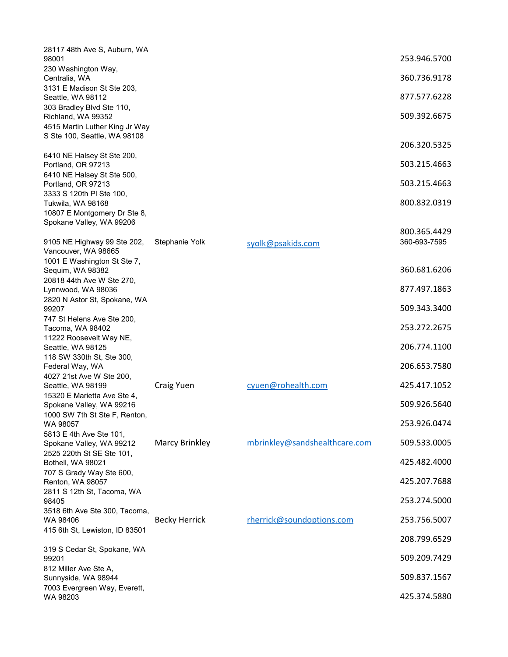| 28117 48th Ave S, Auburn, WA<br>98001                          |                      |                               | 253.946.5700 |
|----------------------------------------------------------------|----------------------|-------------------------------|--------------|
| 230 Washington Way,                                            |                      |                               | 360.736.9178 |
| Centralia, WA<br>3131 E Madison St Ste 203,                    |                      |                               |              |
| Seattle, WA 98112<br>303 Bradley Blvd Ste 110,                 |                      |                               | 877.577.6228 |
| Richland, WA 99352                                             |                      |                               | 509.392.6675 |
| 4515 Martin Luther King Jr Way<br>S Ste 100, Seattle, WA 98108 |                      |                               |              |
|                                                                |                      |                               | 206.320.5325 |
| 6410 NE Halsey St Ste 200,<br>Portland, OR 97213               |                      |                               | 503.215.4663 |
| 6410 NE Halsey St Ste 500,<br>Portland, OR 97213               |                      |                               | 503.215.4663 |
| 3333 S 120th PI Ste 100,                                       |                      |                               | 800.832.0319 |
| Tukwila, WA 98168<br>10807 E Montgomery Dr Ste 8,              |                      |                               |              |
| Spokane Valley, WA 99206                                       |                      |                               | 800.365.4429 |
| 9105 NE Highway 99 Ste 202,                                    | Stephanie Yolk       | syolk@psakids.com             | 360-693-7595 |
| Vancouver, WA 98665<br>1001 E Washington St Ste 7,             |                      |                               |              |
| Sequim, WA 98382                                               |                      |                               | 360.681.6206 |
| 20818 44th Ave W Ste 270,<br>Lynnwood, WA 98036                |                      |                               | 877.497.1863 |
| 2820 N Astor St, Spokane, WA<br>99207                          |                      |                               | 509.343.3400 |
| 747 St Helens Ave Ste 200,                                     |                      |                               |              |
| Tacoma, WA 98402<br>11222 Roosevelt Way NE,                    |                      |                               | 253.272.2675 |
| Seattle, WA 98125                                              |                      |                               | 206.774.1100 |
| 118 SW 330th St, Ste 300,<br>Federal Way, WA                   |                      |                               | 206.653.7580 |
| 4027 21st Ave W Ste 200,<br>Seattle, WA 98199                  | Craig Yuen           | cyuen@rohealth.com            | 425.417.1052 |
| 15320 E Marietta Ave Ste 4,<br>Spokane Valley, WA 99216        |                      |                               | 509.926.5640 |
| 1000 SW 7th St Ste F, Renton,                                  |                      |                               |              |
| WA 98057<br>5813 E 4th Ave Ste 101,                            |                      |                               | 253.926.0474 |
| Spokane Valley, WA 99212                                       | Marcy Brinkley       | mbrinkley@sandshealthcare.com | 509.533.0005 |
| 2525 220th St SE Ste 101,<br>Bothell, WA 98021                 |                      |                               | 425.482.4000 |
| 707 S Grady Way Ste 600,<br>Renton, WA 98057                   |                      |                               | 425.207.7688 |
| 2811 S 12th St, Tacoma, WA<br>98405                            |                      |                               | 253.274.5000 |
| 3518 6th Ave Ste 300, Tacoma,                                  |                      |                               |              |
| WA 98406<br>415 6th St, Lewiston, ID 83501                     | <b>Becky Herrick</b> | rherrick@soundoptions.com     | 253.756.5007 |
|                                                                |                      |                               | 208.799.6529 |
| 319 S Cedar St, Spokane, WA<br>99201                           |                      |                               | 509.209.7429 |
| 812 Miller Ave Ste A,<br>Sunnyside, WA 98944                   |                      |                               | 509.837.1567 |
| 7003 Evergreen Way, Everett,<br>WA 98203                       |                      |                               | 425.374.5880 |
|                                                                |                      |                               |              |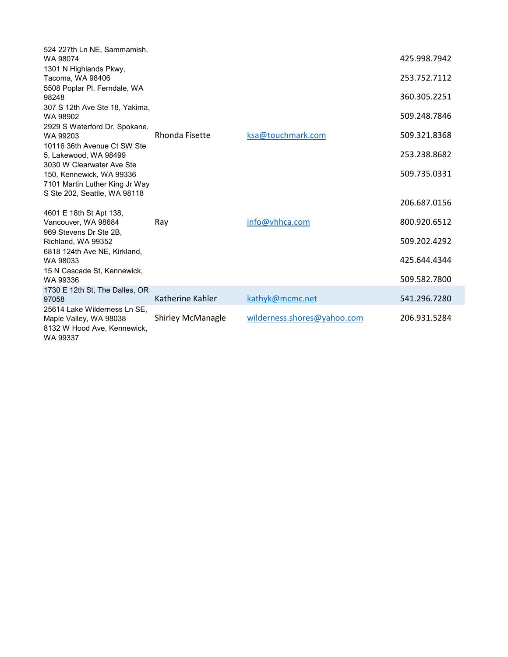| 524 227th Ln NE, Sammamish,<br>WA 98074                                                           |                          |                             | 425.998.7942 |
|---------------------------------------------------------------------------------------------------|--------------------------|-----------------------------|--------------|
| 1301 N Highlands Pkwy,                                                                            |                          |                             |              |
| Tacoma, WA 98406                                                                                  |                          |                             | 253.752.7112 |
| 5508 Poplar PI, Ferndale, WA<br>98248                                                             |                          |                             | 360.305.2251 |
| 307 S 12th Ave Ste 18, Yakima,<br>WA 98902                                                        |                          |                             | 509.248.7846 |
| 2929 S Waterford Dr, Spokane,<br>WA 99203                                                         | <b>Rhonda Fisette</b>    | ksa@touchmark.com           | 509.321.8368 |
| 10116 36th Avenue Ct SW Ste<br>5, Lakewood, WA 98499                                              |                          |                             | 253.238.8682 |
| 3030 W Clearwater Ave Ste<br>150, Kennewick, WA 99336<br>7101 Martin Luther King Jr Way           |                          |                             | 509.735.0331 |
| S Ste 202, Seattle, WA 98118                                                                      |                          |                             |              |
|                                                                                                   |                          |                             | 206.687.0156 |
| 4601 E 18th St Apt 138,<br>Vancouver, WA 98684                                                    | Ray                      | info@vhhca.com              | 800.920.6512 |
| 969 Stevens Dr Ste 2B.<br>Richland, WA 99352                                                      |                          |                             | 509.202.4292 |
| 6818 124th Ave NE, Kirkland,<br>WA 98033                                                          |                          |                             | 425.644.4344 |
| 15 N Cascade St, Kennewick,                                                                       |                          |                             |              |
| WA 99336                                                                                          |                          |                             | 509.582.7800 |
| 1730 E 12th St, The Dalles, OR<br>97058                                                           | Katherine Kahler         | kathyk@mcmc.net             | 541.296.7280 |
| 25614 Lake Wilderness Ln SE.<br>Maple Valley, WA 98038<br>8132 W Hood Ave, Kennewick,<br>WA 99337 | <b>Shirley McManagle</b> | wilderness.shores@yahoo.com | 206.931.5284 |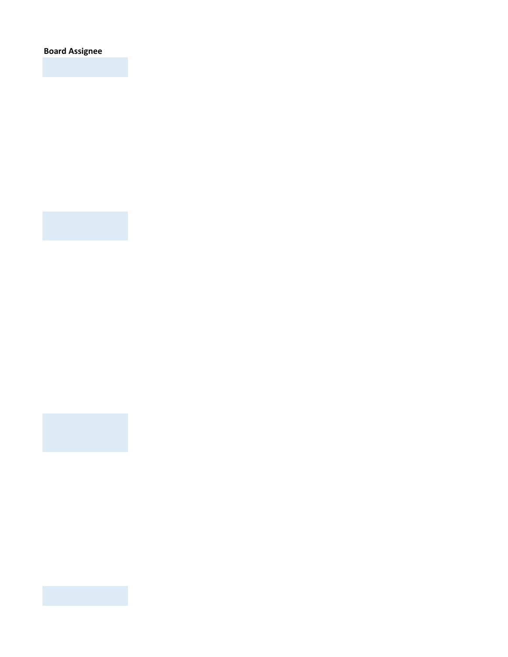**Board Assignee**



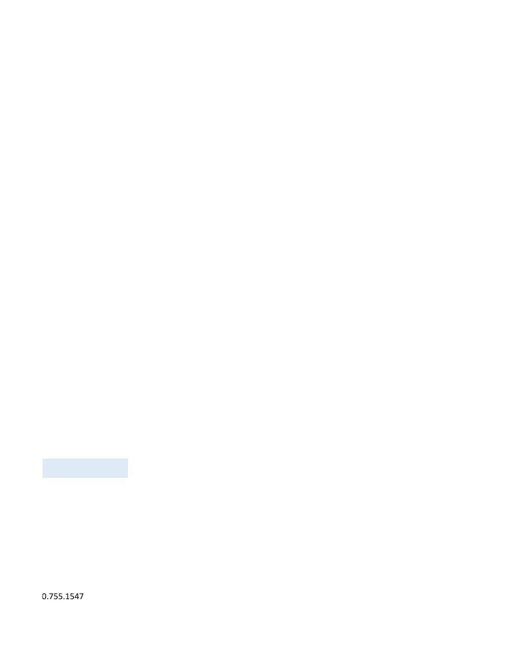0.755.1547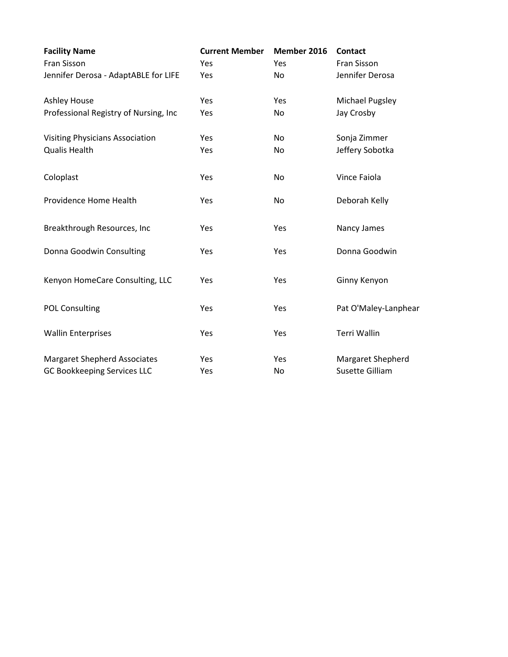| <b>Facility Name</b>                   | <b>Current Member</b> | Member 2016 | <b>Contact</b>       |
|----------------------------------------|-----------------------|-------------|----------------------|
| Fran Sisson                            | Yes                   | Yes         | Fran Sisson          |
| Jennifer Derosa - AdaptABLE for LIFE   | Yes                   | No          | Jennifer Derosa      |
| <b>Ashley House</b>                    | Yes                   | Yes         | Michael Pugsley      |
| Professional Registry of Nursing, Inc  | Yes                   | No          | Jay Crosby           |
| <b>Visiting Physicians Association</b> | Yes                   | No          | Sonja Zimmer         |
| <b>Qualis Health</b>                   | Yes                   | No          | Jeffery Sobotka      |
| Coloplast                              | Yes                   | <b>No</b>   | Vince Faiola         |
| Providence Home Health                 | Yes                   | No          | Deborah Kelly        |
| Breakthrough Resources, Inc            | Yes                   | Yes         | Nancy James          |
| Donna Goodwin Consulting               | Yes                   | Yes         | Donna Goodwin        |
| Kenyon HomeCare Consulting, LLC        | Yes                   | Yes         | Ginny Kenyon         |
| <b>POL Consulting</b>                  | Yes                   | Yes         | Pat O'Maley-Lanphear |
| <b>Wallin Enterprises</b>              | Yes                   | Yes         | <b>Terri Wallin</b>  |
| <b>Margaret Shepherd Associates</b>    | Yes                   | Yes         | Margaret Shepherd    |
| <b>GC Bookkeeping Services LLC</b>     | Yes                   | No.         | Susette Gilliam      |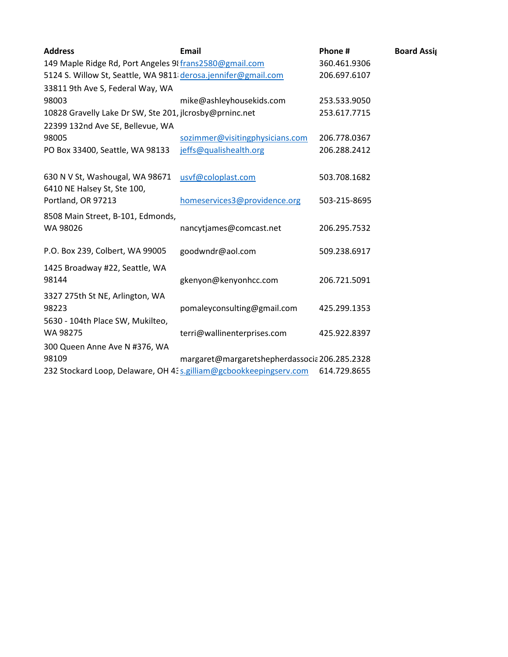| <b>Address</b>                                                 | <b>Email</b>                                                       | Phone #      | <b>Board Assig</b> |
|----------------------------------------------------------------|--------------------------------------------------------------------|--------------|--------------------|
| 149 Maple Ridge Rd, Port Angeles 98 frans2580@gmail.com        | 360.461.9306                                                       |              |                    |
| 5124 S. Willow St, Seattle, WA 9811 derosa.jennifer@gmail.com  |                                                                    | 206.697.6107 |                    |
| 33811 9th Ave S, Federal Way, WA                               |                                                                    |              |                    |
| 98003                                                          | mike@ashleyhousekids.com                                           | 253.533.9050 |                    |
| 10828 Gravelly Lake Dr SW, Ste 201, jlcrosby@prninc.net        | 253.617.7715                                                       |              |                    |
| 22399 132nd Ave SE, Bellevue, WA                               |                                                                    |              |                    |
| 98005                                                          | sozimmer@visitingphysicians.com                                    | 206.778.0367 |                    |
| PO Box 33400, Seattle, WA 98133                                | jeffs@qualishealth.org                                             | 206.288.2412 |                    |
| 630 N V St, Washougal, WA 98671<br>6410 NE Halsey St, Ste 100, | usvf@coloplast.com                                                 | 503.708.1682 |                    |
| Portland, OR 97213                                             | homeservices3@providence.org                                       | 503-215-8695 |                    |
| 8508 Main Street, B-101, Edmonds,<br>WA 98026                  | nancytjames@comcast.net                                            | 206.295.7532 |                    |
| P.O. Box 239, Colbert, WA 99005                                | goodwndr@aol.com                                                   | 509.238.6917 |                    |
| 1425 Broadway #22, Seattle, WA<br>98144                        | gkenyon@kenyonhcc.com                                              | 206.721.5091 |                    |
| 3327 275th St NE, Arlington, WA<br>98223                       | pomaleyconsulting@gmail.com                                        | 425.299.1353 |                    |
| 5630 - 104th Place SW, Mukilteo,<br>WA 98275                   | terri@wallinenterprises.com                                        | 425.922.8397 |                    |
| 300 Queen Anne Ave N #376, WA                                  |                                                                    |              |                    |
| 98109                                                          | margaret@margaretshepherdassocia 206.285.2328                      |              |                    |
|                                                                | 232 Stockard Loop, Delaware, OH 43 s.gilliam@gcbookkeepingserv.com | 614.729.8655 |                    |